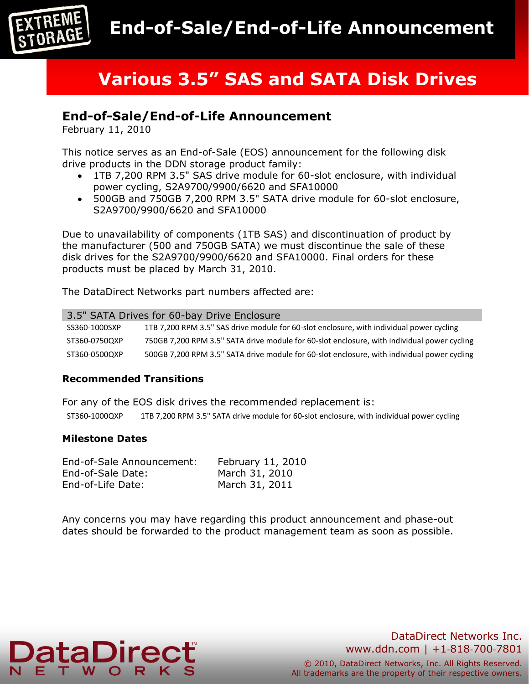

# **Various 3.5" SAS and SATA Disk Drives**

# **End-of-Sale/End-of-Life Announcement**

February 11, 2010

This notice serves as an End-of-Sale (EOS) announcement for the following disk drive products in the DDN storage product family:

- 1TB 7,200 RPM 3.5" SAS drive module for 60-slot enclosure, with individual power cycling, S2A9700/9900/6620 and SFA10000
- 500GB and 750GB 7,200 RPM 3.5" SATA drive module for 60-slot enclosure, S2A9700/9900/6620 and SFA10000

Due to unavailability of components (1TB SAS) and discontinuation of product by the manufacturer (500 and 750GB SATA) we must discontinue the sale of these disk drives for the S2A9700/9900/6620 and SFA10000. Final orders for these products must be placed by March 31, 2010.

The DataDirect Networks part numbers affected are:

| 3.5" SATA Drives for 60-bay Drive Enclosure |                                                                                             |  |
|---------------------------------------------|---------------------------------------------------------------------------------------------|--|
| SS360-1000SXP                               | 1TB 7,200 RPM 3.5" SAS drive module for 60-slot enclosure, with individual power cycling    |  |
| ST360-0750QXP                               | 750GB 7,200 RPM 3.5" SATA drive module for 60-slot enclosure, with individual power cycling |  |
| ST360-0500QXP                               | 500GB 7,200 RPM 3.5" SATA drive module for 60-slot enclosure, with individual power cycling |  |

#### **Recommended Transitions**

For any of the EOS disk drives the recommended replacement is: ST360-1000QXP 1TB 7,200 RPM 3.5" SATA drive module for 60-slot enclosure, with individual power cycling

#### **Milestone Dates**

| End-of-Sale Announcement: | February 11, 2010 |
|---------------------------|-------------------|
| End-of-Sale Date:         | March 31, 2010    |
| End-of-Life Date:         | March 31, 2011    |

Any concerns you may have regarding this product announcement and phase-out dates should be forwarded to the product management team as soon as possible.



## DataDirect Networks Inc. www.ddn.com | +1‐818‐700‐7801

© 2010, DataDirect Networks, Inc. All Rights Reserved. All trademarks are the property of their respective owners.